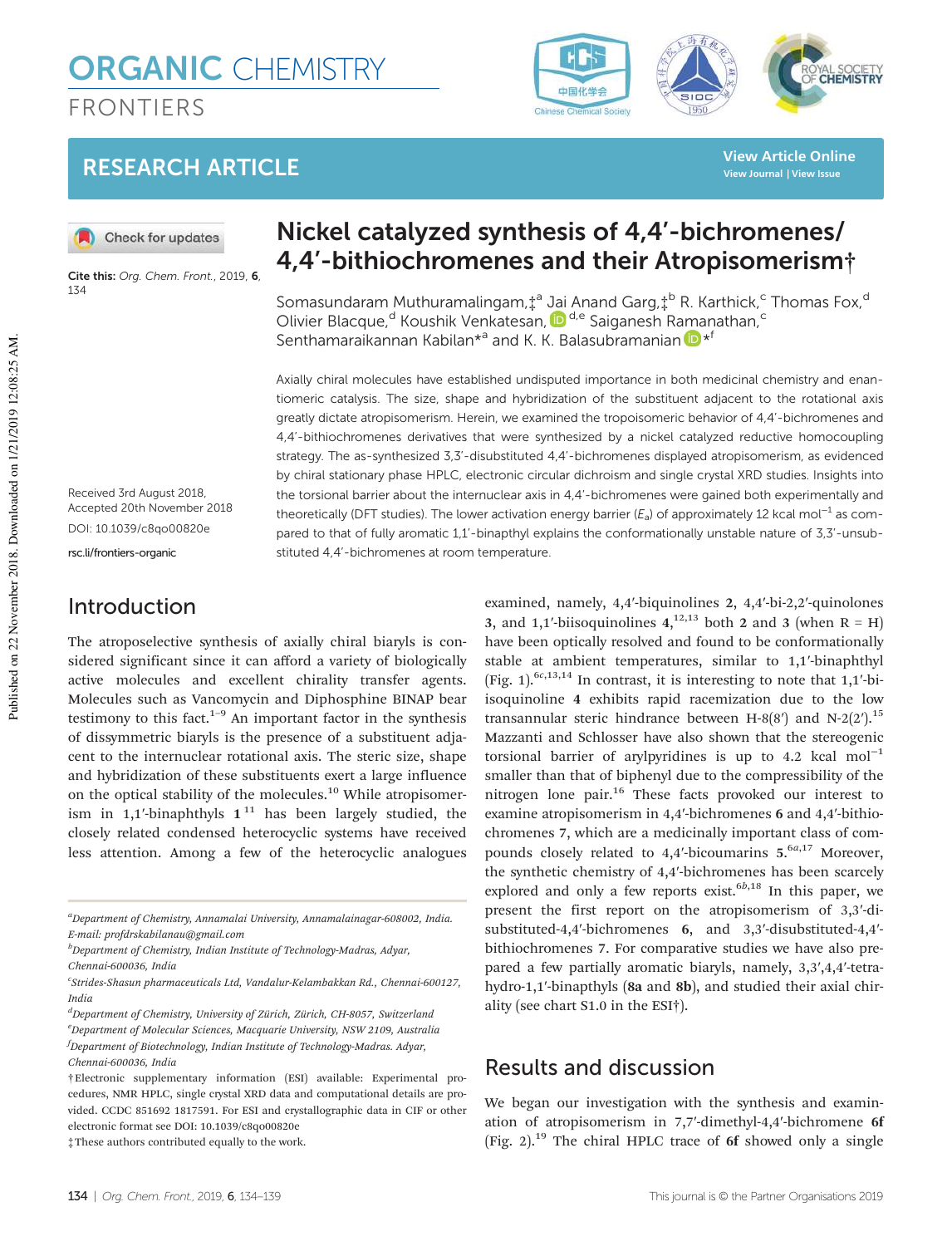# **ORGANIC CHEMISTRY** FRONTIERS

## RESEARCH ARTICLE

Check for updates

Cite this: Org. Chem. Front., 2019, 6, 134

## Nickel catalyzed synthesis of 4,4'-bichromenes/ 4,4'-bithiochromenes and their Atropisomerism†

Somasundaram Muthuramalingam, $\ddagger^{\text{a}}$  Jai Anand Garg, $\ddagger^{\text{b}}$  R. Karthick,<sup>c</sup> Thomas Fox,<sup>d</sup> Olivier Blacque,<sup>d</sup> Koushik Venkatesan, D<sup>d,e</sup> Saiganesh Ramanathan,<sup>c</sup> Senthamaraikannan Kabilan\*<sup>a</sup> and K. K. Balasubramanian D \*<sup>1</sup>

Axially chiral molecules have established undisputed importance in both medicinal chemistry and enantiomeric catalysis. The size, shape and hybridization of the substituent adjacent to the rotational axis greatly dictate atropisomerism. Herein, we examined the tropoisomeric behavior of 4,4'-bichromenes and 4,4'-bithiochromenes derivatives that were synthesized by a nickel catalyzed reductive homocoupling strategy. The as-synthesized 3,3'-disubstituted 4,4'-bichromenes displayed atropisomerism, as evidenced by chiral stationary phase HPLC, electronic circular dichroism and single crystal XRD studies. Insights into the torsional barrier about the internuclear axis in 4,4'-bichromenes were gained both experimentally and theoretically (DFT studies). The lower activation energy barrier ( $E_a$ ) of approximately 12 kcal mol<sup>-1</sup> as compared to that of fully aromatic 1,1'-binapthyl explains the conformationally unstable nature of 3,3'-unsubstituted 4,4'-bichromenes at room temperature.

Received 3rd August 2018, Accepted 20th November 2018 DOI: 10.1039/c8qo00820e rsc.li/frontiers-organic

## Introduction

The atroposelective synthesis of axially chiral biaryls is considered significant since it can afford a variety of biologically active molecules and excellent chirality transfer agents. Molecules such as Vancomycin and Diphosphine BINAP bear testimony to this fact. $1-9$  An important factor in the synthesis of dissymmetric biaryls is the presence of a substituent adjacent to the internuclear rotational axis. The steric size, shape and hybridization of these substituents exert a large influence on the optical stability of the molecules.<sup>10</sup> While atropisomerism in 1,1'-binaphthyls  $1^{11}$  has been largely studied, the closely related condensed heterocyclic systems have received less attention. Among a few of the heterocyclic analogues

<sup>a</sup>Department of Chemistry, Annamalai University, Annamalainagar-608002, India. E-mail: profdrskabilanau@gmail.com

 $b$ Department of Chemistry, Indian Institute of Technology-Madras, Adyar, Chennai-600036, India

 ${}^{d}$ Department of Chemistry, University of Zürich, Zürich, CH-8057, Switzerland  $e<sup>e</sup>$ Department of Molecular Sciences, Macquarie University, NSW 2109, Australia  $f$ Department of Biotechnology, Indian Institute of Technology-Madras. Adyar, Chennai-600036, India

‡These authors contributed equally to the work.

examined, namely, 4,4′-biquinolines 2, 4,4′-bi-2,2′-quinolones 3, and 1,1'-biisoquinolines  $4,^{12,13}$  both 2 and 3 (when R = H) have been optically resolved and found to be conformationally stable at ambient temperatures, similar to 1,1′-binaphthyl (Fig. 1).<sup>6c,13,14</sup> In contrast, it is interesting to note that  $1,1'$ -biisoquinoline 4 exhibits rapid racemization due to the low transannular steric hindrance between H-8(8') and N-2(2').<sup>15</sup> Mazzanti and Schlosser have also shown that the stereogenic torsional barrier of arylpyridines is up to 4.2 kcal mol<sup>-1</sup> smaller than that of biphenyl due to the compressibility of the nitrogen lone pair.<sup>16</sup> These facts provoked our interest to examine atropisomerism in 4,4′-bichromenes 6 and 4,4′-bithiochromenes 7, which are a medicinally important class of compounds closely related to 4,4'-bicoumarins  $5.6a,17$  Moreover, the synthetic chemistry of 4,4′-bichromenes has been scarcely explored and only a few reports exist.<sup> $6b,18$ </sup> In this paper, we present the first report on the atropisomerism of 3,3′-disubstituted-4,4′-bichromenes 6, and 3,3′-disubstituted-4,4′ bithiochromenes 7. For comparative studies we have also prepared a few partially aromatic biaryls, namely, 3,3′,4,4′-tetrahydro-1,1'-binapthyls (8a and 8b), and studied their axial chirality (see chart S1.0 in the ESI†).

## Results and discussion

We began our investigation with the synthesis and examination of atropisomerism in 7,7′-dimethyl-4,4′-bichromene 6f (Fig. 2).<sup>19</sup> The chiral HPLC trace of 6f showed only a single

#### YAL SOCIETY 中国化学会 Chinese Che **Irial Society**

**View Article Online View Journal | View Issue**

c Strides-Shasun pharmaceuticals Ltd, Vandalur-Kelambakkan Rd., Chennai-600127, India

<sup>†</sup>Electronic supplementary information (ESI) available: Experimental procedures, NMR HPLC, single crystal XRD data and computational details are provided. CCDC 851692 1817591. For ESI and crystallographic data in CIF or other electronic format see DOI: 10.1039/c8qo00820e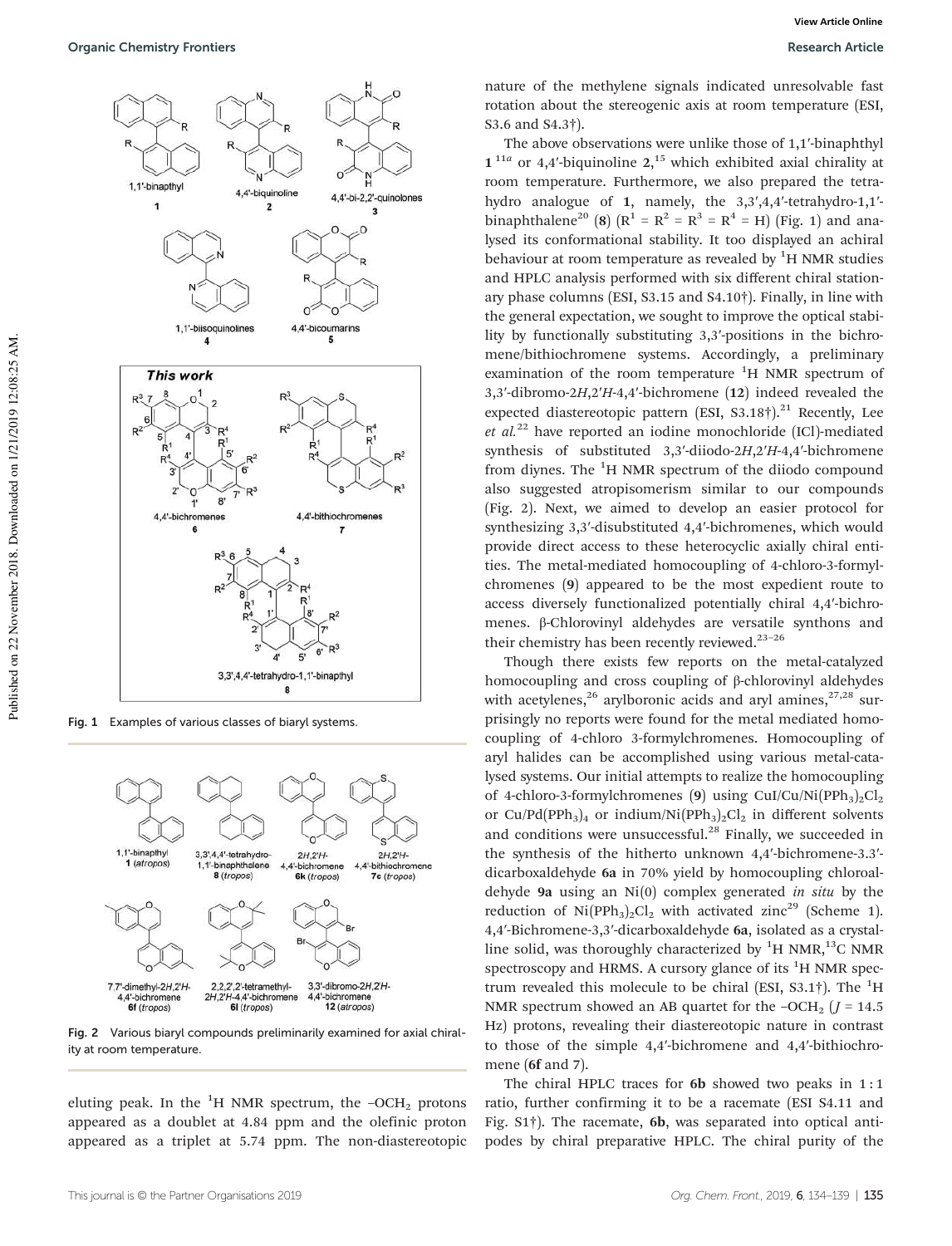

Fig. 1 Examples of various classes of biaryl systems.



Fig. 2 Various biaryl compounds preliminarily examined for axial chirality at room temperature.

eluting peak. In the  ${}^{1}H$  NMR spectrum, the  $-OCH_2$  protons appeared as a doublet at 4.84 ppm and the olefinic proton appeared as a triplet at 5.74 ppm. The non-diastereotopic

nature of the methylene signals indicated unresolvable fast rotation about the stereogenic axis at room temperature (ESI, S3.6 and S4.3†).

The above observations were unlike those of 1,1′-binaphthyl  $1^{11a}$  or 4,4'-biquinoline 2,<sup>15</sup> which exhibited axial chirality at room temperature. Furthermore, we also prepared the tetrahydro analogue of 1, namely, the 3,3',4,4'-tetrahydro-1,1'binaphthalene<sup>20</sup> (8) ( $R^1 = R^2 = R^3 = R^4 = H$ ) (Fig. 1) and analysed its conformational stability. It too displayed an achiral behaviour at room temperature as revealed by  ${}^{1}H$  NMR studies and HPLC analysis performed with six different chiral stationary phase columns (ESI, S3.15 and S4.10†). Finally, in line with the general expectation, we sought to improve the optical stability by functionally substituting 3,3′-positions in the bichromene/bithiochromene systems. Accordingly, a preliminary examination of the room temperature  ${}^{1}H$  NMR spectrum of 3,3′-dibromo-2H,2′H-4,4′-bichromene (12) indeed revealed the expected diastereotopic pattern (ESI, S3.18 $\dagger$ ).<sup>21</sup> Recently, Lee et  $al^{22}$  have reported an iodine monochloride (ICl)-mediated synthesis of substituted 3,3'-diiodo-2H,2'H-4,4'-bichromene from diynes. The  ${}^{1}H$  NMR spectrum of the diiodo compound also suggested atropisomerism similar to our compounds (Fig. 2). Next, we aimed to develop an easier protocol for synthesizing 3,3′-disubstituted 4,4′-bichromenes, which would provide direct access to these heterocyclic axially chiral entities. The metal-mediated homocoupling of 4-chloro-3-formylchromenes (9) appeared to be the most expedient route to access diversely functionalized potentially chiral 4,4′-bichromenes. β-Chlorovinyl aldehydes are versatile synthons and their chemistry has been recently reviewed. $23-26$ 

Though there exists few reports on the metal-catalyzed homocoupling and cross coupling of β-chlorovinyl aldehydes with acetylenes,<sup>26</sup> arylboronic acids and aryl amines, $27,28$  surprisingly no reports were found for the metal mediated homocoupling of 4-chloro 3-formylchromenes. Homocoupling of aryl halides can be accomplished using various metal-catalysed systems. Our initial attempts to realize the homocoupling of 4-chloro-3-formylchromenes (9) using CuI/Cu/Ni(PPh<sub>3</sub>)<sub>2</sub>Cl<sub>2</sub> or Cu/Pd(PPh<sub>3</sub>)<sub>4</sub> or indium/Ni(PPh<sub>3</sub>)<sub>2</sub>Cl<sub>2</sub> in different solvents and conditions were unsuccessful. $^{28}$  Finally, we succeeded in the synthesis of the hitherto unknown 4,4′-bichromene-3.3′ dicarboxaldehyde 6a in 70% yield by homocoupling chloroaldehyde 9a using an  $Ni(0)$  complex generated in situ by the reduction of Ni(PPh<sub>3</sub>)<sub>2</sub>Cl<sub>2</sub> with activated zinc<sup>29</sup> (Scheme 1). 4,4′-Bichromene-3,3′-dicarboxaldehyde 6a, isolated as a crystalline solid, was thoroughly characterized by  ${}^{1}$ H NMR,<sup>13</sup>C NMR spectroscopy and HRMS. A cursory glance of its  ${}^{1}$ H NMR spectrum revealed this molecule to be chiral (ESI, S3.1†). The  ${}^{1}H$ NMR spectrum showed an AB quartet for the  $-OCH_2$  ( $J = 14.5$ ) Hz) protons, revealing their diastereotopic nature in contrast to those of the simple 4,4′-bichromene and 4,4′-bithiochromene (6f and 7).

The chiral HPLC traces for  $6b$  showed two peaks in 1:1 ratio, further confirming it to be a racemate (ESI S4.11 and Fig. S1†). The racemate, 6b, was separated into optical antipodes by chiral preparative HPLC. The chiral purity of the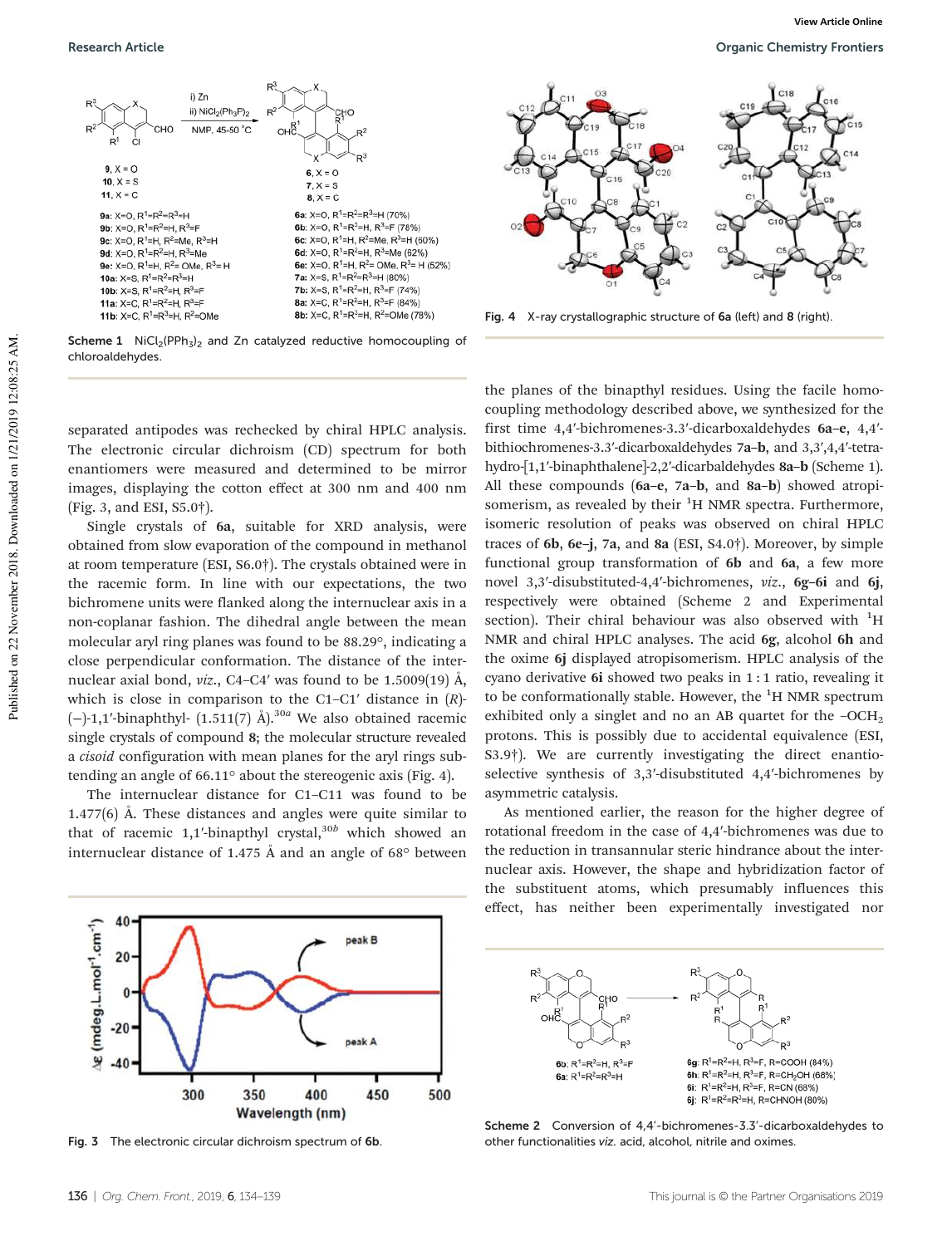

Scheme 1  $NiCl<sub>2</sub>(PPh<sub>3</sub>)<sub>2</sub>$  and Zn catalyzed reductive homocoupling of chloroaldehydes.



Fig. 4 X-ray crystallographic structure of 6a (left) and 8 (right).

separated antipodes was rechecked by chiral HPLC analysis. The electronic circular dichroism (CD) spectrum for both enantiomers were measured and determined to be mirror images, displaying the cotton effect at 300 nm and 400 nm (Fig. 3, and ESI, S5.0†).

Single crystals of 6a, suitable for XRD analysis, were obtained from slow evaporation of the compound in methanol at room temperature (ESI, S6.0†). The crystals obtained were in the racemic form. In line with our expectations, the two bichromene units were flanked along the internuclear axis in a non-coplanar fashion. The dihedral angle between the mean molecular aryl ring planes was found to be 88.29°, indicating a close perpendicular conformation. The distance of the internuclear axial bond, *viz.*, C4–C4' was found to be 1.5009(19)  $\AA$ , which is close in comparison to the C1–C1 $'$  distance in  $(R)$ - $(-)$ -1,1′-binaphthyl-  $(1.511(7)$  Å).<sup>30a</sup> We also obtained racemic single crystals of compound 8; the molecular structure revealed a cisoid configuration with mean planes for the aryl rings subtending an angle of 66.11° about the stereogenic axis (Fig. 4).

The internuclear distance for C1–C11 was found to be 1.477(6) Å. These distances and angles were quite similar to that of racemic 1,1'-binapthyl crystal, $30b$  which showed an internuclear distance of 1.475 Å and an angle of 68° between

the planes of the binapthyl residues. Using the facile homocoupling methodology described above, we synthesized for the first time 4,4′-bichromenes-3.3′-dicarboxaldehydes 6a–e, 4,4′ bithiochromenes-3.3′-dicarboxaldehydes 7a–b, and 3,3′,4,4′-tetrahydro-[1,1′-binaphthalene]-2,2′-dicarbaldehydes 8a–b (Scheme 1). All these compounds (6a–e, 7a–b, and 8a–b) showed atropisomerism, as revealed by their  ${}^{1}H$  NMR spectra. Furthermore, isomeric resolution of peaks was observed on chiral HPLC traces of 6b, 6e–j, 7a, and 8a (ESI, S4.0†). Moreover, by simple functional group transformation of 6b and 6a, a few more novel 3,3′-disubstituted-4,4′-bichromenes, viz., 6g–6i and 6j, respectively were obtained (Scheme 2 and Experimental section). Their chiral behaviour was also observed with  ${}^{1}H$ NMR and chiral HPLC analyses. The acid 6g, alcohol 6h and the oxime 6j displayed atropisomerism. HPLC analysis of the cyano derivative 6i showed two peaks in 1 : 1 ratio, revealing it to be conformationally stable. However, the  ${}^{1}$ H NMR spectrum exhibited only a singlet and no an AB quartet for the  $-OCH<sub>2</sub>$ protons. This is possibly due to accidental equivalence (ESI, S3.9†). We are currently investigating the direct enantioselective synthesis of 3,3′-disubstituted 4,4′-bichromenes by asymmetric catalysis.

As mentioned earlier, the reason for the higher degree of rotational freedom in the case of 4,4′-bichromenes was due to the reduction in transannular steric hindrance about the internuclear axis. However, the shape and hybridization factor of the substituent atoms, which presumably influences this effect, has neither been experimentally investigated nor



Fig. 3 The electronic circular dichroism spectrum of 6b.



Scheme 2 Conversion of 4,4'-bichromenes-3.3'-dicarboxaldehydes to other functionalities viz. acid, alcohol, nitrile and oximes.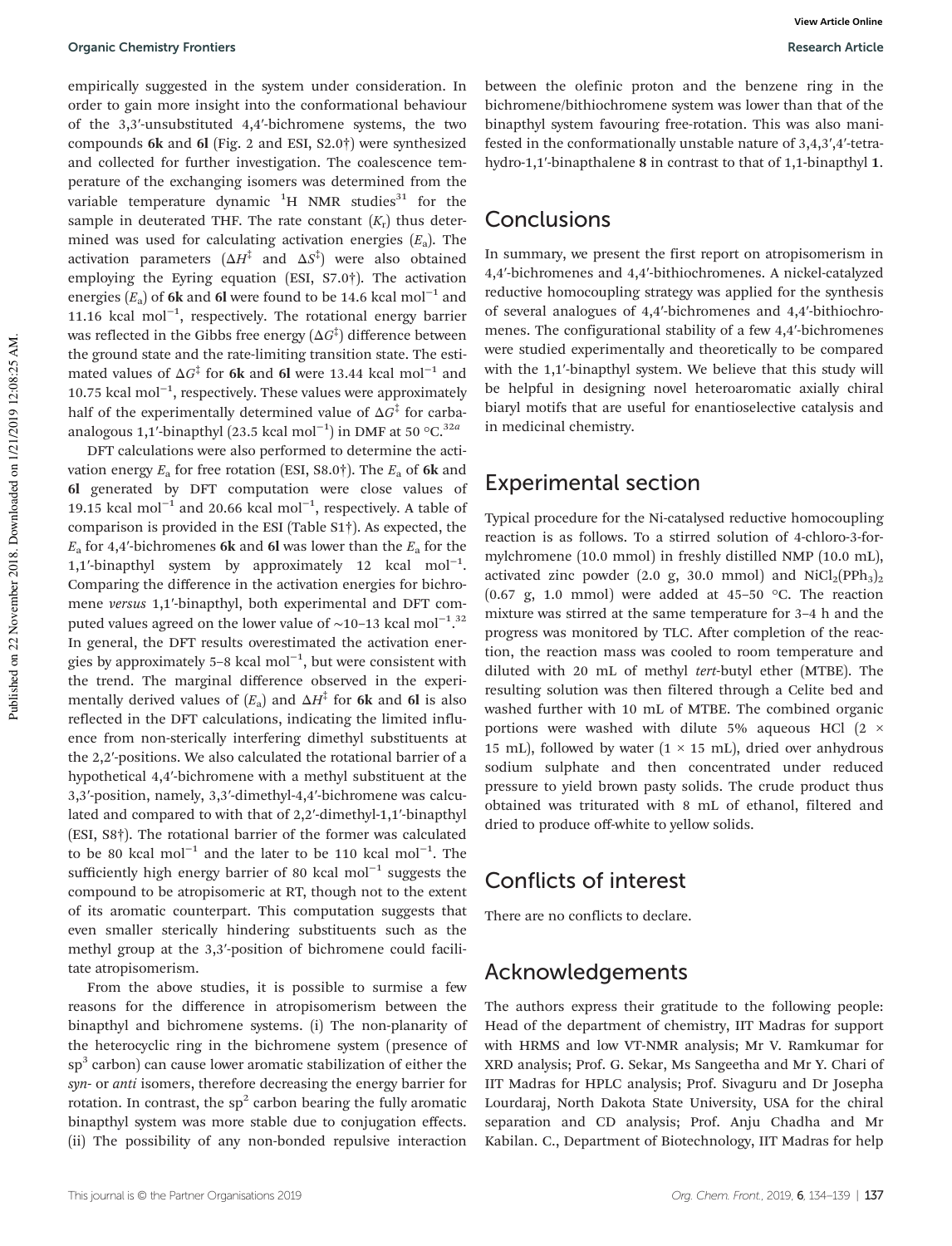empirically suggested in the system under consideration. In order to gain more insight into the conformational behaviour of the 3,3′-unsubstituted 4,4′-bichromene systems, the two compounds 6k and 6l (Fig. 2 and ESI, S2.0†) were synthesized and collected for further investigation. The coalescence temperature of the exchanging isomers was determined from the variable temperature dynamic  ${}^{1}H$  NMR studies<sup>31</sup> for the sample in deuterated THF. The rate constant  $(K_r)$  thus determined was used for calculating activation energies  $(E_a)$ . The activation parameters  $(\Delta H^\ddagger$  and  $\Delta S^\ddagger)$  were also obtained employing the Eyring equation (ESI, S7.0†). The activation energies  $(E_a)$  of 6k and 6l were found to be 14.6 kcal mol<sup>-1</sup> and 11.16 kcal mol−<sup>1</sup> , respectively. The rotational energy barrier was reflected in the Gibbs free energy  $(\Delta G^\ddagger)$  difference between the ground state and the rate-limiting transition state. The estimated values of  $\Delta G^{\ddagger}$  for 6k and 6l were 13.44 kcal mol<sup>-1</sup> and 10.75 kcal mol−<sup>1</sup> , respectively. These values were approximately half of the experimentally determined value of  $\Delta G^{\ddagger}$  for carbaanalogous 1,1′-binapthyl (23.5 kcal mol<sup>-1</sup>) in DMF at 50 °C.<sup>32a</sup>

DFT calculations were also performed to determine the activation energy  $E_a$  for free rotation (ESI, S8.0†). The  $E_a$  of 6k and 6l generated by DFT computation were close values of 19.15 kcal mol−<sup>1</sup> and 20.66 kcal mol−<sup>1</sup> , respectively. A table of comparison is provided in the ESI (Table S1†). As expected, the  $E_a$  for 4,4′-bichromenes 6k and 6l was lower than the  $E_a$  for the 1,1′-binapthyl system by approximately 12 kcal mol−<sup>1</sup> . Comparing the difference in the activation energies for bichromene versus 1,1′-binapthyl, both experimental and DFT computed values agreed on the lower value of ~10-13 kcal mol<sup>-1,32</sup> In general, the DFT results overestimated the activation energies by approximately 5–8 kcal mol−<sup>1</sup> , but were consistent with the trend. The marginal difference observed in the experimentally derived values of  $(E_{\rm a})$  and  $\Delta H^{^\ddagger}$  for **6k** and **6l** is also reflected in the DFT calculations, indicating the limited influence from non-sterically interfering dimethyl substituents at the 2,2′-positions. We also calculated the rotational barrier of a hypothetical 4,4′-bichromene with a methyl substituent at the 3,3′-position, namely, 3,3′-dimethyl-4,4′-bichromene was calculated and compared to with that of 2,2′-dimethyl-1,1′-binapthyl (ESI, S8†). The rotational barrier of the former was calculated to be 80 kcal mol<sup>-1</sup> and the later to be 110 kcal mol<sup>-1</sup>. The sufficiently high energy barrier of 80 kcal mol<sup>-1</sup> suggests the compound to be atropisomeric at RT, though not to the extent of its aromatic counterpart. This computation suggests that even smaller sterically hindering substituents such as the methyl group at the 3,3′-position of bichromene could facilitate atropisomerism.

From the above studies, it is possible to surmise a few reasons for the difference in atropisomerism between the binapthyl and bichromene systems. (i) The non-planarity of the heterocyclic ring in the bichromene system (presence of  $sp<sup>3</sup>$  carbon) can cause lower aromatic stabilization of either the syn- or anti isomers, therefore decreasing the energy barrier for rotation. In contrast, the  $sp^2$  carbon bearing the fully aromatic binapthyl system was more stable due to conjugation effects. (ii) The possibility of any non-bonded repulsive interaction

between the olefinic proton and the benzene ring in the bichromene/bithiochromene system was lower than that of the binapthyl system favouring free-rotation. This was also manifested in the conformationally unstable nature of 3,4,3′,4′-tetrahydro-1,1′-binapthalene 8 in contrast to that of 1,1-binapthyl 1.

#### Conclusions

In summary, we present the first report on atropisomerism in 4,4′-bichromenes and 4,4′-bithiochromenes. A nickel-catalyzed reductive homocoupling strategy was applied for the synthesis of several analogues of 4,4′-bichromenes and 4,4′-bithiochromenes. The configurational stability of a few 4,4′-bichromenes were studied experimentally and theoretically to be compared with the 1,1′-binapthyl system. We believe that this study will be helpful in designing novel heteroaromatic axially chiral biaryl motifs that are useful for enantioselective catalysis and in medicinal chemistry.

#### Experimental section

Typical procedure for the Ni-catalysed reductive homocoupling reaction is as follows. To a stirred solution of 4-chloro-3-formylchromene (10.0 mmol) in freshly distilled NMP (10.0 mL), activated zinc powder (2.0 g, 30.0 mmol) and  $\text{NiCl}_2(\text{PPh}_3)_2$ (0.67 g, 1.0 mmol) were added at 45-50  $\degree$ C. The reaction mixture was stirred at the same temperature for 3–4 h and the progress was monitored by TLC. After completion of the reaction, the reaction mass was cooled to room temperature and diluted with 20 mL of methyl tert-butyl ether (MTBE). The resulting solution was then filtered through a Celite bed and washed further with 10 mL of MTBE. The combined organic portions were washed with dilute 5% aqueous HCl  $(2 \times$ 15 mL), followed by water  $(1 \times 15 \text{ mL})$ , dried over anhydrous sodium sulphate and then concentrated under reduced pressure to yield brown pasty solids. The crude product thus obtained was triturated with 8 mL of ethanol, filtered and dried to produce off-white to yellow solids.

## Conflicts of interest

There are no conflicts to declare.

### Acknowledgements

The authors express their gratitude to the following people: Head of the department of chemistry, IIT Madras for support with HRMS and low VT-NMR analysis; Mr V. Ramkumar for XRD analysis; Prof. G. Sekar, Ms Sangeetha and Mr Y. Chari of IIT Madras for HPLC analysis; Prof. Sivaguru and Dr Josepha Lourdaraj, North Dakota State University, USA for the chiral separation and CD analysis; Prof. Anju Chadha and Mr Kabilan. C., Department of Biotechnology, IIT Madras for help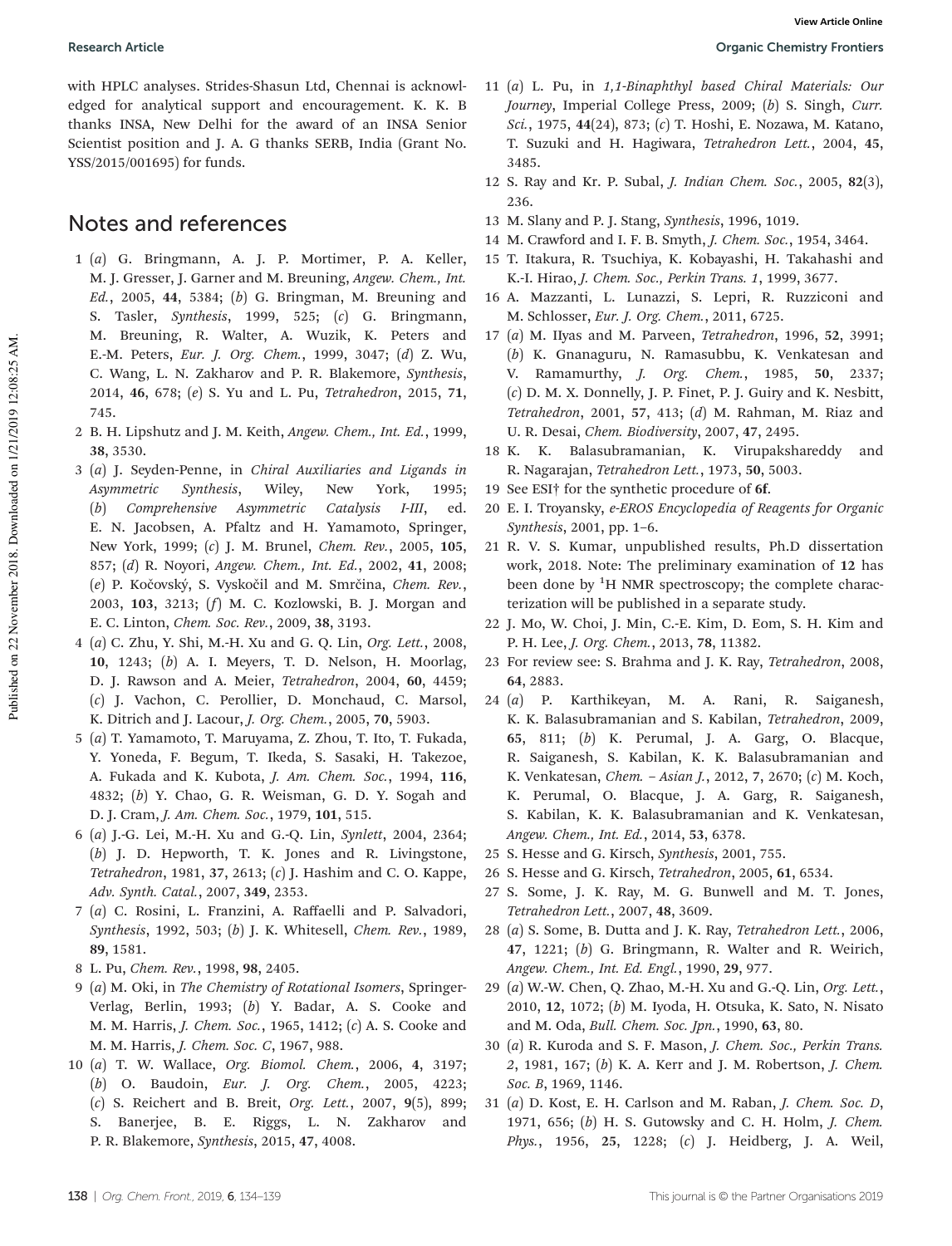with HPLC analyses. Strides-Shasun Ltd, Chennai is acknowledged for analytical support and encouragement. K. K. B thanks INSA, New Delhi for the award of an INSA Senior Scientist position and J. A. G thanks SERB, India (Grant No. YSS/2015/001695) for funds.

## Notes and references

- 1 (a) G. Bringmann, A. J. P. Mortimer, P. A. Keller, M. J. Gresser, J. Garner and M. Breuning, Angew. Chem., Int. Ed., 2005, 44, 5384; (b) G. Bringman, M. Breuning and S. Tasler, Synthesis, 1999, 525; (c) G. Bringmann, M. Breuning, R. Walter, A. Wuzik, K. Peters and E.-M. Peters, Eur. J. Org. Chem., 1999, 3047; (d) Z. Wu, C. Wang, L. N. Zakharov and P. R. Blakemore, Synthesis, 2014, 46, 678; (e) S. Yu and L. Pu, Tetrahedron, 2015, 71, 745.
- 2 B. H. Lipshutz and J. M. Keith, Angew. Chem., Int. Ed., 1999, 38, 3530.
- 3 (a) J. Seyden-Penne, in Chiral Auxiliaries and Ligands in Asymmetric Synthesis, Wiley, New York, 1995; (b) Comprehensive Asymmetric Catalysis I-III, ed. E. N. Jacobsen, A. Pfaltz and H. Yamamoto, Springer, New York, 1999; (c) J. M. Brunel, Chem. Rev., 2005, 105, 857; (d) R. Noyori, Angew. Chem., Int. Ed., 2002, 41, 2008; (e) P. Kočovský, S. Vyskočil and M. Smrčina, Chem. Rev., 2003, 103, 3213; (f) M. C. Kozlowski, B. J. Morgan and E. C. Linton, Chem. Soc. Rev., 2009, 38, 3193.
- 4 (a) C. Zhu, Y. Shi, M.-H. Xu and G. Q. Lin, Org. Lett., 2008, 10, 1243; (b) A. I. Meyers, T. D. Nelson, H. Moorlag, D. J. Rawson and A. Meier, Tetrahedron, 2004, 60, 4459; (c) J. Vachon, C. Perollier, D. Monchaud, C. Marsol, K. Ditrich and J. Lacour, J. Org. Chem., 2005, 70, 5903.
- 5 (a) T. Yamamoto, T. Maruyama, Z. Zhou, T. Ito, T. Fukada, Y. Yoneda, F. Begum, T. Ikeda, S. Sasaki, H. Takezoe, A. Fukada and K. Kubota, J. Am. Chem. Soc., 1994, 116, 4832; (b) Y. Chao, G. R. Weisman, G. D. Y. Sogah and D. J. Cram, J. Am. Chem. Soc., 1979, 101, 515.
- 6 (a) J.-G. Lei, M.-H. Xu and G.-Q. Lin, Synlett, 2004, 2364; (b) J. D. Hepworth, T. K. Jones and R. Livingstone, Tetrahedron, 1981, 37, 2613; (c) J. Hashim and C. O. Kappe, Adv. Synth. Catal., 2007, 349, 2353.
- 7 (a) C. Rosini, L. Franzini, A. Raffaelli and P. Salvadori, Synthesis, 1992, 503; (b) J. K. Whitesell, Chem. Rev., 1989, 89, 1581.
- 8 L. Pu, Chem. Rev., 1998, 98, 2405.
- 9 (a) M. Oki, in The Chemistry of Rotational Isomers, Springer-Verlag, Berlin, 1993; (b) Y. Badar, A. S. Cooke and M. M. Harris, J. Chem. Soc., 1965, 1412; (c) A. S. Cooke and M. M. Harris, J. Chem. Soc. C, 1967, 988.
- 10 (a) T. W. Wallace, Org. Biomol. Chem., 2006, 4, 3197; (b) O. Baudoin, Eur. J. Org. Chem., 2005, 4223; (c) S. Reichert and B. Breit, Org. Lett., 2007, 9(5), 899; S. Banerjee, B. E. Riggs, L. N. Zakharov and P. R. Blakemore, Synthesis, 2015, 47, 4008.
- 11 (a) L. Pu, in 1,1-Binaphthyl based Chiral Materials: Our Journey, Imperial College Press, 2009; (b) S. Singh, Curr. Sci., 1975, 44(24), 873; (c) T. Hoshi, E. Nozawa, M. Katano, T. Suzuki and H. Hagiwara, Tetrahedron Lett., 2004, 45, 3485.
- 12 S. Ray and Kr. P. Subal, J. Indian Chem. Soc., 2005, 82(3), 236.
- 13 M. Slany and P. J. Stang, Synthesis, 1996, 1019.
- 14 M. Crawford and I. F. B. Smyth, J. Chem. Soc., 1954, 3464.
- 15 T. Itakura, R. Tsuchiya, K. Kobayashi, H. Takahashi and K.-I. Hirao, J. Chem. Soc., Perkin Trans. 1, 1999, 3677.
- 16 A. Mazzanti, L. Lunazzi, S. Lepri, R. Ruzziconi and M. Schlosser, Eur. J. Org. Chem., 2011, 6725.
- 17 (a) M. IIyas and M. Parveen, Tetrahedron, 1996, 52, 3991; (b) K. Gnanaguru, N. Ramasubbu, K. Venkatesan and V. Ramamurthy, J. Org. Chem., 1985, 50, 2337; (c) D. M. X. Donnelly, J. P. Finet, P. J. Guiry and K. Nesbitt, Tetrahedron, 2001, 57, 413; (d) M. Rahman, M. Riaz and U. R. Desai, Chem. Biodiversity, 2007, 47, 2495.
- 18 K. K. Balasubramanian, K. Virupakshareddy and R. Nagarajan, Tetrahedron Lett., 1973, 50, 5003.
- 19 See ESI† for the synthetic procedure of 6f.
- 20 E. I. Troyansky, e-EROS Encyclopedia of Reagents for Organic Synthesis, 2001, pp. 1–6.
- 21 R. V. S. Kumar, unpublished results, Ph.D dissertation work, 2018. Note: The preliminary examination of 12 has been done by  ${}^{1}H$  NMR spectroscopy; the complete characterization will be published in a separate study.
- 22 J. Mo, W. Choi, J. Min, C.-E. Kim, D. Eom, S. H. Kim and P. H. Lee, J. Org. Chem., 2013, 78, 11382.
- 23 For review see: S. Brahma and J. K. Ray, Tetrahedron, 2008, 64, 2883.
- 24 (a) P. Karthikeyan, M. A. Rani, R. Saiganesh, K. K. Balasubramanian and S. Kabilan, Tetrahedron, 2009, 65, 811; (b) K. Perumal, J. A. Garg, O. Blacque, R. Saiganesh, S. Kabilan, K. K. Balasubramanian and K. Venkatesan, Chem. – Asian J., 2012, 7, 2670; (c) M. Koch, K. Perumal, O. Blacque, J. A. Garg, R. Saiganesh, S. Kabilan, K. K. Balasubramanian and K. Venkatesan, Angew. Chem., Int. Ed., 2014, 53, 6378.
- 25 S. Hesse and G. Kirsch, Synthesis, 2001, 755.
- 26 S. Hesse and G. Kirsch, Tetrahedron, 2005, 61, 6534.
- 27 S. Some, J. K. Ray, M. G. Bunwell and M. T. Jones, Tetrahedron Lett., 2007, 48, 3609.
- 28 (a) S. Some, B. Dutta and J. K. Ray, Tetrahedron Lett., 2006, 47, 1221; (b) G. Bringmann, R. Walter and R. Weirich, Angew. Chem., Int. Ed. Engl., 1990, 29, 977.
- 29 (a) W.-W. Chen, Q. Zhao, M.-H. Xu and G.-Q. Lin, Org. Lett., 2010, 12, 1072; (b) M. Iyoda, H. Otsuka, K. Sato, N. Nisato and M. Oda, Bull. Chem. Soc. Jpn., 1990, 63, 80.
- 30 (a) R. Kuroda and S. F. Mason, J. Chem. Soc., Perkin Trans. 2, 1981, 167; (b) K. A. Kerr and J. M. Robertson, J. Chem. Soc. B, 1969, 1146.
- 31 (a) D. Kost, E. H. Carlson and M. Raban, J. Chem. Soc. D, 1971, 656; (b) H. S. Gutowsky and C. H. Holm, J. Chem. Phys., 1956, 25, 1228; (c) J. Heidberg, J. A. Weil,